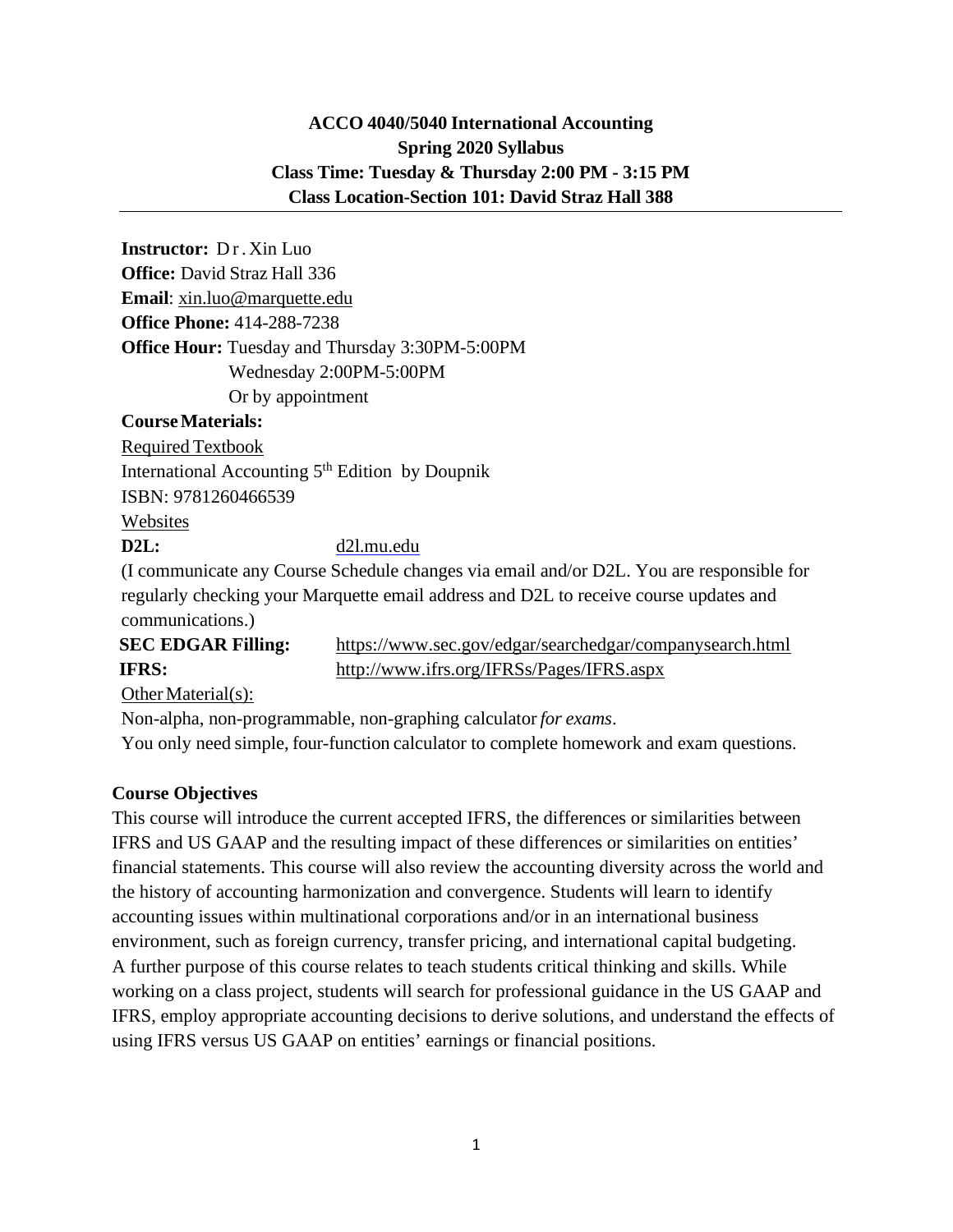# **ACCO 4040/5040 International Accounting Spring 2020 Syllabus Class Time: Tuesday & Thursday 2:00 PM - 3:15 PM Class Location-Section 101: David Straz Hall 388**

**Instructor:** Dr. Xin Luo **Office:** David Straz Hall 336 **Email**: [xin.luo@marquette.edu](mailto:xin.luo@marquette.edu) **Office Phone:** 414-288-7238 **Office Hour:** Tuesday and Thursday 3:30PM-5:00PM Wednesday 2:00PM-5:00PM Or by appointment

#### **CourseMaterials:**

Required Textbook International Accounting  $5<sup>th</sup>$  Edition by Doupnik ISBN: 9781260466539 Websites

**D2L:** d2l.mu.edu

(I communicate any Course Schedule changes via email and/or D2L. You are responsible for regularly checking your Marquette email address and D2L to receive course updates and communications.)

**SEC EDGAR Filling:** https://www.sec.gov/edgar/searchedgar/companysearch.html **IFRS:** http://www.ifrs.org/IFRSs/Pages/IFRS.aspx

Other Material $(s)$ :

Non-alpha, non-programmable, non-graphing calculator *for exams*.

You only need simple, four-function calculator to complete homework and exam questions.

# **Course Objectives**

This course will introduce the current accepted IFRS, the differences or similarities between IFRS and US GAAP and the resulting impact of these differences or similarities on entities' financial statements. This course will also review the accounting diversity across the world and the history of accounting harmonization and convergence. Students will learn to identify accounting issues within multinational corporations and/or in an international business environment, such as foreign currency, transfer pricing, and international capital budgeting. A further purpose of this course relates to teach students critical thinking and skills. While working on a class project, students will search for professional guidance in the US GAAP and IFRS, employ appropriate accounting decisions to derive solutions, and understand the effects of using IFRS versus US GAAP on entities' earnings or financial positions.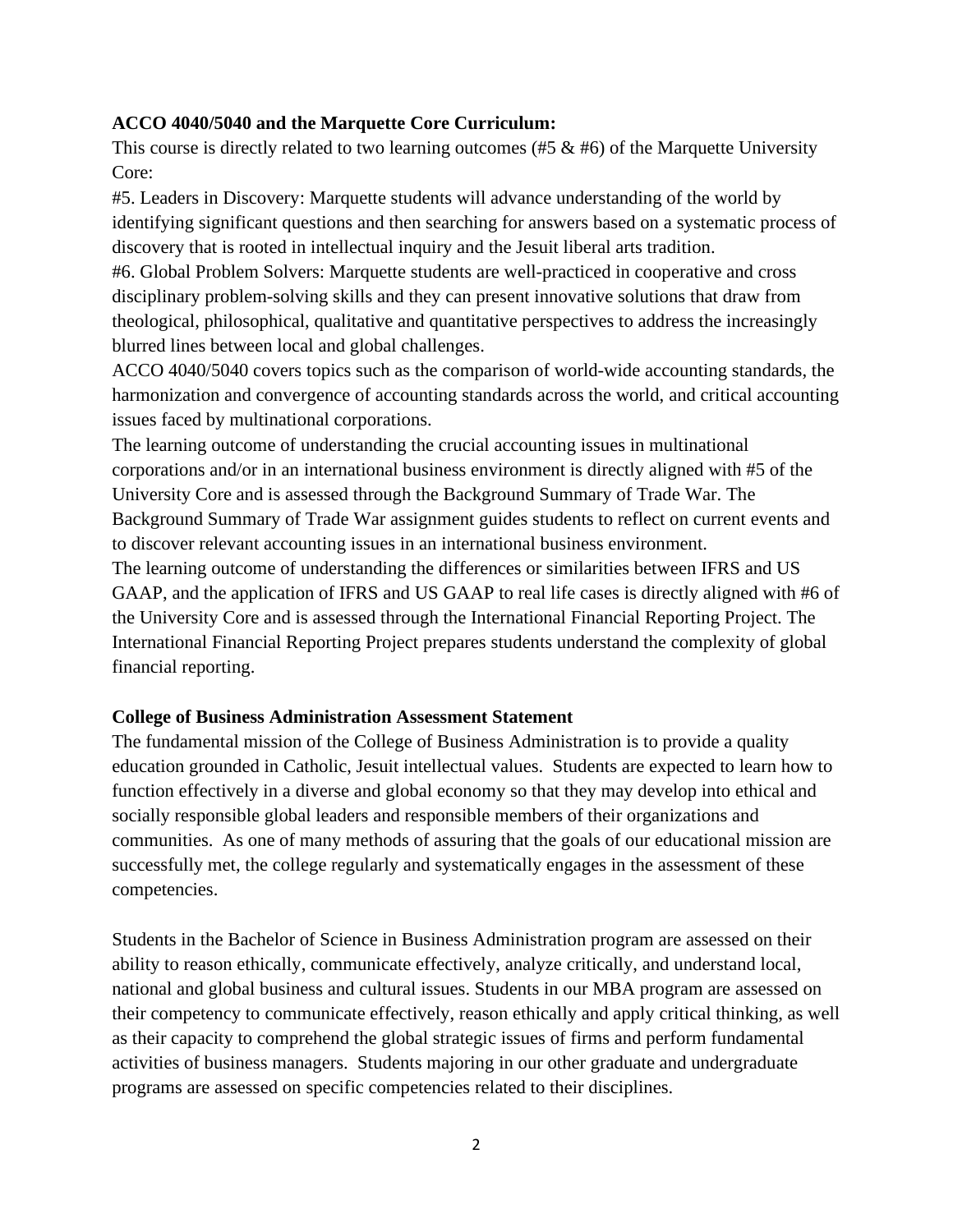## **ACCO 4040/5040 and the Marquette Core Curriculum:**

This course is directly related to two learning outcomes (#5  $\&$  #6) of the Marquette University Core:

#5. Leaders in Discovery: Marquette students will advance understanding of the world by identifying significant questions and then searching for answers based on a systematic process of discovery that is rooted in intellectual inquiry and the Jesuit liberal arts tradition.

#6. Global Problem Solvers: Marquette students are well-practiced in cooperative and cross disciplinary problem-solving skills and they can present innovative solutions that draw from theological, philosophical, qualitative and quantitative perspectives to address the increasingly blurred lines between local and global challenges.

ACCO 4040/5040 covers topics such as the comparison of world-wide accounting standards, the harmonization and convergence of accounting standards across the world, and critical accounting issues faced by multinational corporations.

The learning outcome of understanding the crucial accounting issues in multinational corporations and/or in an international business environment is directly aligned with #5 of the University Core and is assessed through the Background Summary of Trade War. The Background Summary of Trade War assignment guides students to reflect on current events and to discover relevant accounting issues in an international business environment.

The learning outcome of understanding the differences or similarities between IFRS and US GAAP, and the application of IFRS and US GAAP to real life cases is directly aligned with #6 of the University Core and is assessed through the International Financial Reporting Project. The International Financial Reporting Project prepares students understand the complexity of global financial reporting.

#### **College of Business Administration Assessment Statement**

The fundamental mission of the College of Business Administration is to provide a quality education grounded in Catholic, Jesuit intellectual values. Students are expected to learn how to function effectively in a diverse and global economy so that they may develop into ethical and socially responsible global leaders and responsible members of their organizations and communities. As one of many methods of assuring that the goals of our educational mission are successfully met, the college regularly and systematically engages in the assessment of these competencies.

Students in the Bachelor of Science in Business Administration program are assessed on their ability to reason ethically, communicate effectively, analyze critically, and understand local, national and global business and cultural issues. Students in our MBA program are assessed on their competency to communicate effectively, reason ethically and apply critical thinking, as well as their capacity to comprehend the global strategic issues of firms and perform fundamental activities of business managers. Students majoring in our other graduate and undergraduate programs are assessed on specific competencies related to their disciplines.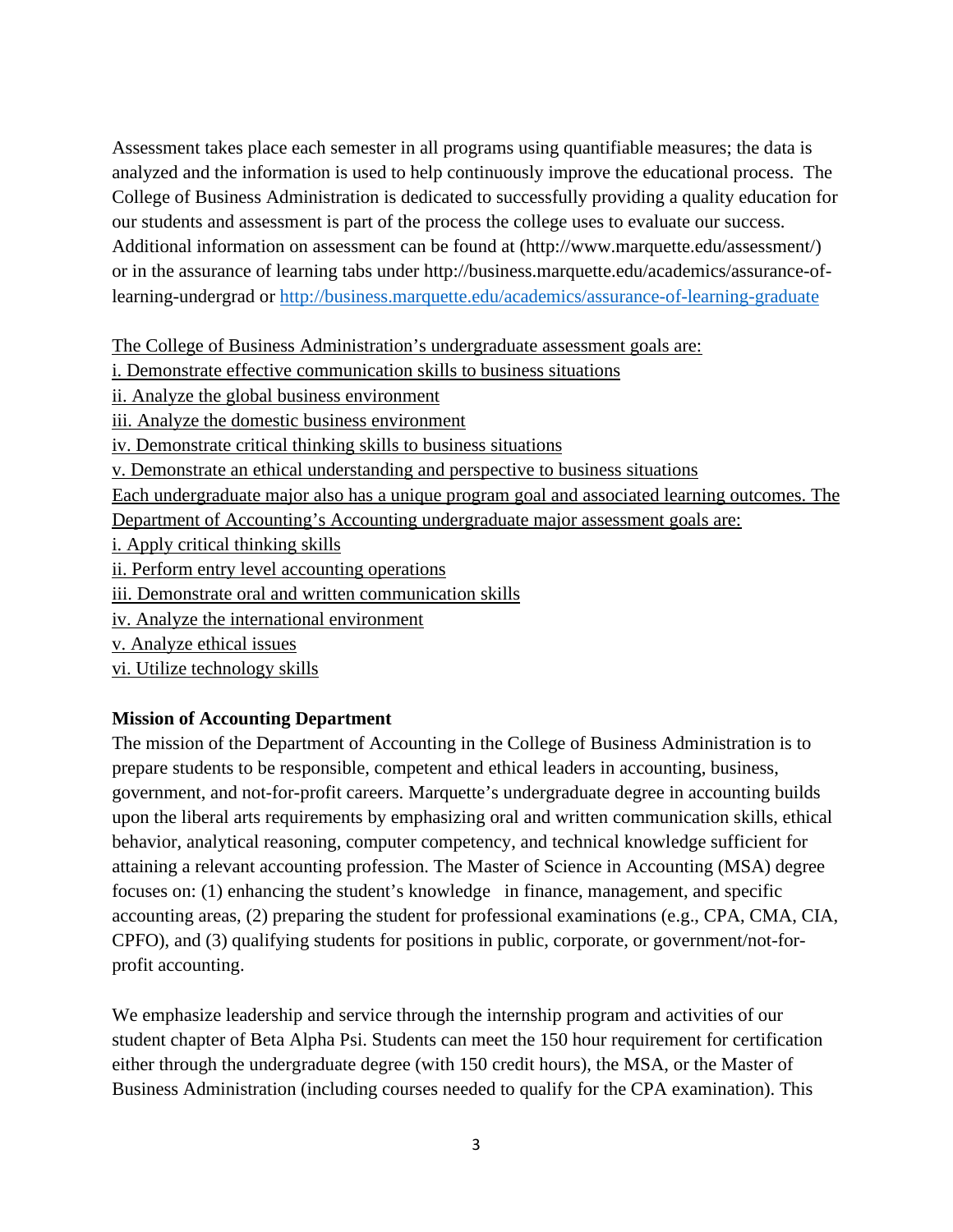Assessment takes place each semester in all programs using quantifiable measures; the data is analyzed and the information is used to help continuously improve the educational process. The College of Business Administration is dedicated to successfully providing a quality education for our students and assessment is part of the process the college uses to evaluate our success. Additional information on assessment can be found at (http://www.marquette.edu/assessment/) or in the assurance of learning tabs under http://business.marquette.edu/academics/assurance-oflearning-undergrad or<http://business.marquette.edu/academics/assurance-of-learning-graduate>

The College of Business Administration's undergraduate assessment goals are:

- i. Demonstrate effective communication skills to business situations
- ii. Analyze the global business environment
- iii. Analyze the domestic business environment
- iv. Demonstrate critical thinking skills to business situations
- v. Demonstrate an ethical understanding and perspective to business situations

Each undergraduate major also has a unique program goal and associated learning outcomes. The

Department of Accounting's Accounting undergraduate major assessment goals are:

- i. Apply critical thinking skills
- ii. Perform entry level accounting operations
- iii. Demonstrate oral and written communication skills
- iv. Analyze the international environment
- v. Analyze ethical issues
- vi. Utilize technology skills

#### **Mission of Accounting Department**

The mission of the Department of Accounting in the College of Business Administration is to prepare students to be responsible, competent and ethical leaders in accounting, business, government, and not-for-profit careers. Marquette's undergraduate degree in accounting builds upon the liberal arts requirements by emphasizing oral and written communication skills, ethical behavior, analytical reasoning, computer competency, and technical knowledge sufficient for attaining a relevant accounting profession. The Master of Science in Accounting (MSA) degree focuses on: (1) enhancing the student's knowledge in finance, management, and specific accounting areas, (2) preparing the student for professional examinations (e.g., CPA, CMA, CIA, CPFO), and (3) qualifying students for positions in public, corporate, or government/not-forprofit accounting.

We emphasize leadership and service through the internship program and activities of our student chapter of Beta Alpha Psi. Students can meet the 150 hour requirement for certification either through the undergraduate degree (with 150 credit hours), the MSA, or the Master of Business Administration (including courses needed to qualify for the CPA examination). This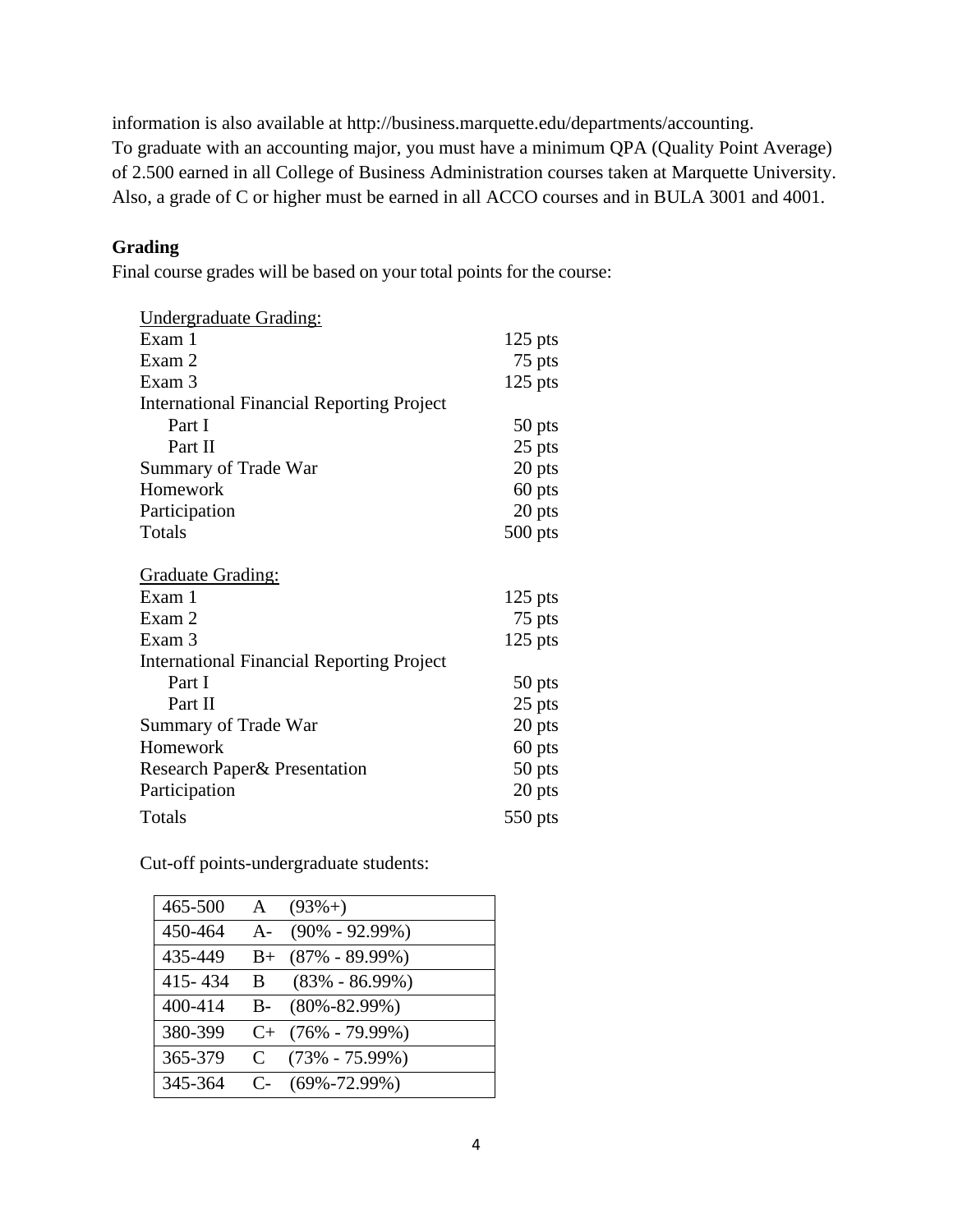information is also available at http://business.marquette.edu/departments/accounting. To graduate with an accounting major, you must have a minimum QPA (Quality Point Average) of 2.500 earned in all College of Business Administration courses taken at Marquette University. Also, a grade of C or higher must be earned in all ACCO courses and in BULA 3001 and 4001.

# **Grading**

Final course grades will be based on your total points for the course:

| <b>Undergraduate Grading:</b>                    |           |
|--------------------------------------------------|-----------|
| Exam 1                                           | $125$ pts |
| Exam 2                                           | 75 pts    |
| Exam 3                                           | $125$ pts |
| <b>International Financial Reporting Project</b> |           |
| Part I                                           | 50 pts    |
| Part II                                          | 25 pts    |
| Summary of Trade War                             | 20 pts    |
| Homework                                         | 60 pts    |
| Participation                                    | 20 pts    |
| Totals                                           | $500$ pts |
|                                                  |           |
| <u>Graduate Grading:</u>                         |           |
| Exam 1                                           | $125$ pts |
| Exam 2                                           | 75 pts    |
| Exam 3                                           | $125$ pts |
| <b>International Financial Reporting Project</b> |           |
| Part I                                           | 50 pts    |
| Part II                                          | 25 pts    |
| Summary of Trade War                             | 20 pts    |
| Homework                                         | 60 pts    |
| Research Paper & Presentation                    | 50 pts    |
| Participation                                    | 20 pts    |
| Totals                                           | 550 pts   |

Cut-off points-undergraduate students:

| 465-500   | $\mathsf{A}$ | $(93\% + )$         |
|-----------|--------------|---------------------|
| 450-464   | $A-$         | $(90\% - 92.99\%)$  |
| 435-449   | $B+$         | $(87\% - 89.99\%)$  |
| 415 - 434 | B.           | $(83\% - 86.99\%)$  |
| 400-414   | $B -$        | $(80\% - 82.99\%)$  |
| 380-399   |              | $C+$ (76% - 79.99%) |
| 365-379   | C            | $(73\% - 75.99\%)$  |
| 345-364   | $C_{\tau}$   | $(69\% - 72.99\%)$  |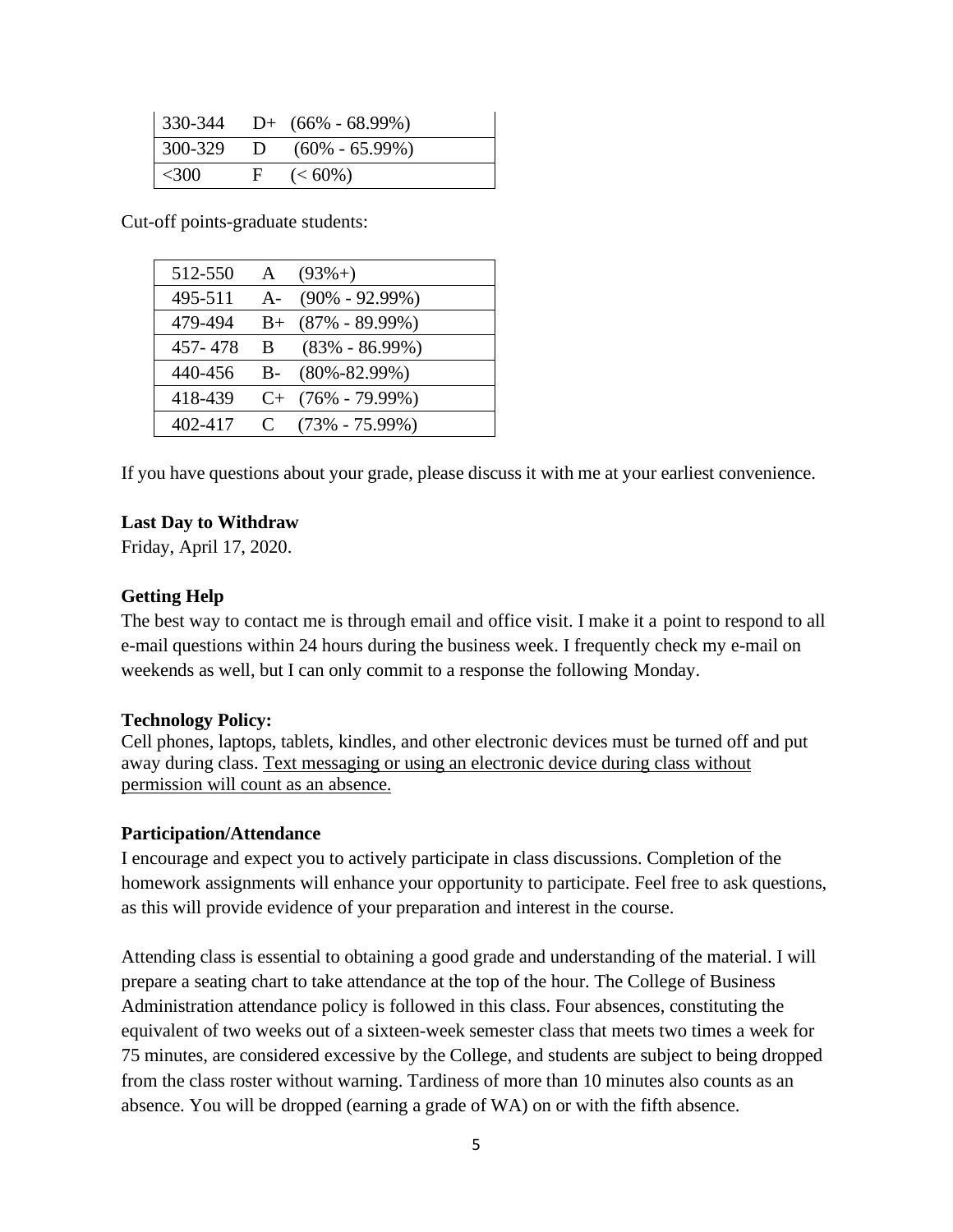|              | $\vert$ 330-344 D+ (66% - 68.99%) |
|--------------|-----------------------------------|
|              | $1300-329$ D $(60\% - 65.99\%)$   |
| $\vert$ <300 | $F \quad (\text{<}60\%)$          |

Cut-off points-graduate students:

| 512-550 | A       | $(93\% + )$        |
|---------|---------|--------------------|
| 495-511 | $A -$   | $(90\% - 92.99\%)$ |
| 479-494 | $B+$    | $(87\% - 89.99\%)$ |
| 457-478 | B.      | $(83\% - 86.99\%)$ |
| 440-456 | $B -$   | $(80\% - 82.99\%)$ |
| 418-439 | $C+$    | $(76\% - 79.99\%)$ |
| 402-417 | $\rm C$ | $(73\% - 75.99\%)$ |

If you have questions about your grade, please discuss it with me at your earliest convenience.

#### **Last Day to Withdraw**

Friday, April 17, 2020.

#### **Getting Help**

The best way to contact me is through email and office visit. I make it a point to respond to all e-mail questions within 24 hours during the business week. I frequently check my e-mail on weekends as well, but I can only commit to a response the following Monday.

#### **Technology Policy:**

Cell phones, laptops, tablets, kindles, and other electronic devices must be turned off and put away during class. Text messaging or using an electronic device during class without permission will count as an absence.

#### **Participation/Attendance**

I encourage and expect you to actively participate in class discussions. Completion of the homework assignments will enhance your opportunity to participate. Feel free to ask questions, as this will provide evidence of your preparation and interest in the course.

Attending class is essential to obtaining a good grade and understanding of the material. I will prepare a seating chart to take attendance at the top of the hour. The College of Business Administration attendance policy is followed in this class. Four absences, constituting the equivalent of two weeks out of a sixteen-week semester class that meets two times a week for 75 minutes, are considered excessive by the College, and students are subject to being dropped from the class roster without warning. Tardiness of more than 10 minutes also counts as an absence. You will be dropped (earning a grade of WA) on or with the fifth absence.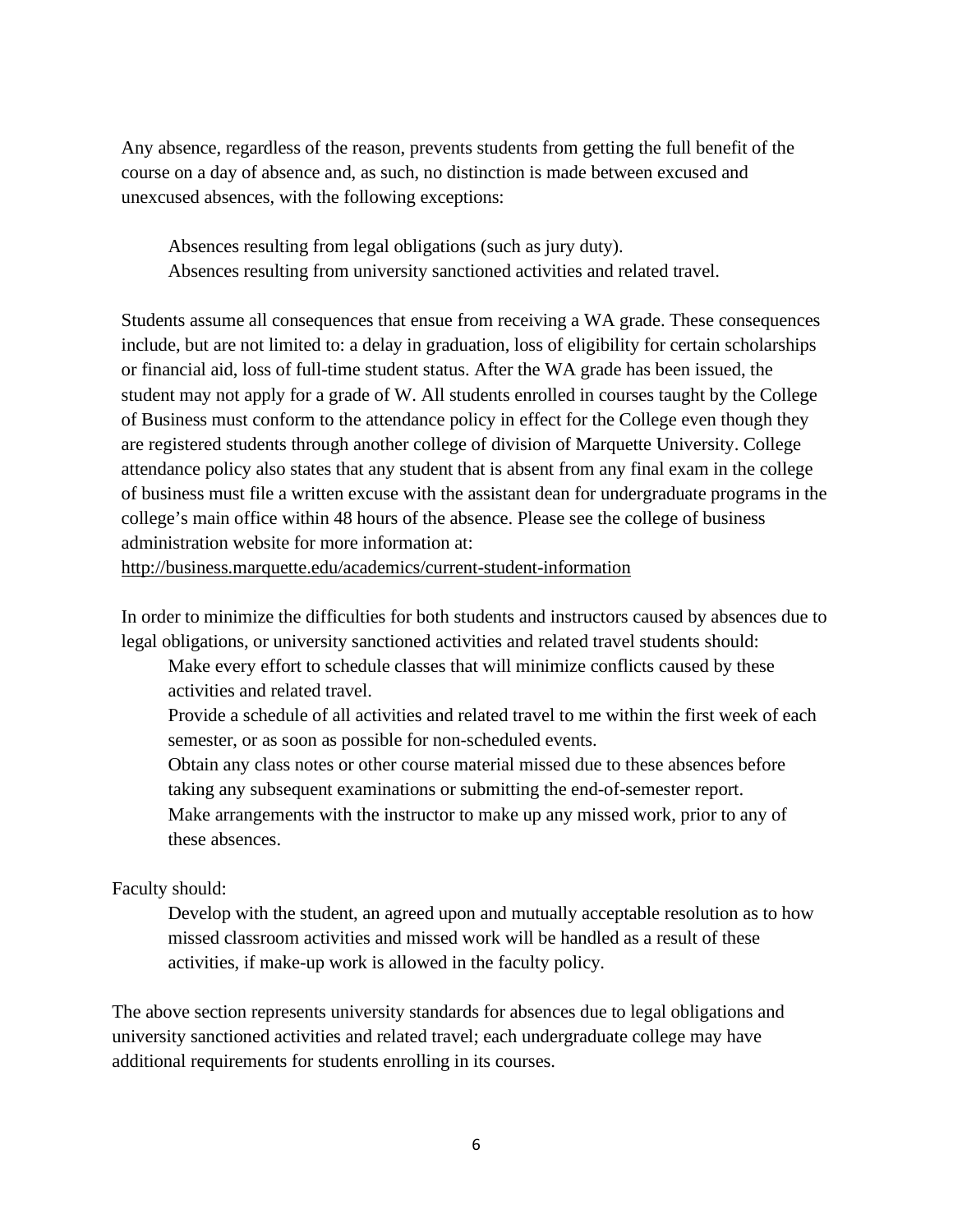Any absence, regardless of the reason, prevents students from getting the full benefit of the course on a day of absence and, as such, no distinction is made between excused and unexcused absences, with the following exceptions:

Absences resulting from legal obligations (such as jury duty). Absences resulting from university sanctioned activities and related travel.

Students assume all consequences that ensue from receiving a WA grade. These consequences include, but are not limited to: a delay in graduation, loss of eligibility for certain scholarships or financial aid, loss of full-time student status. After the WA grade has been issued, the student may not apply for a grade of W. All students enrolled in courses taught by the College of Business must conform to the attendance policy in effect for the College even though they are registered students through another college of division of Marquette University. College attendance policy also states that any student that is absent from any final exam in the college of business must file a written excuse with the assistant dean for undergraduate programs in the college's main office within 48 hours of the absence. Please see the college of business administration website for more information at:

<http://business.marquette.edu/academics/current-student-information>

In order to minimize the difficulties for both students and instructors caused by absences due to legal obligations, or university sanctioned activities and related travel students should:

Make every effort to schedule classes that will minimize conflicts caused by these activities and related travel.

Provide a schedule of all activities and related travel to me within the first week of each semester, or as soon as possible for non-scheduled events.

Obtain any class notes or other course material missed due to these absences before taking any subsequent examinations or submitting the end-of-semester report.

Make arrangements with the instructor to make up any missed work, prior to any of these absences.

#### Faculty should:

Develop with the student, an agreed upon and mutually acceptable resolution as to how missed classroom activities and missed work will be handled as a result of these activities, if make-up work is allowed in the faculty policy.

The above section represents university standards for absences due to legal obligations and university sanctioned activities and related travel; each undergraduate college may have additional requirements for students enrolling in its courses.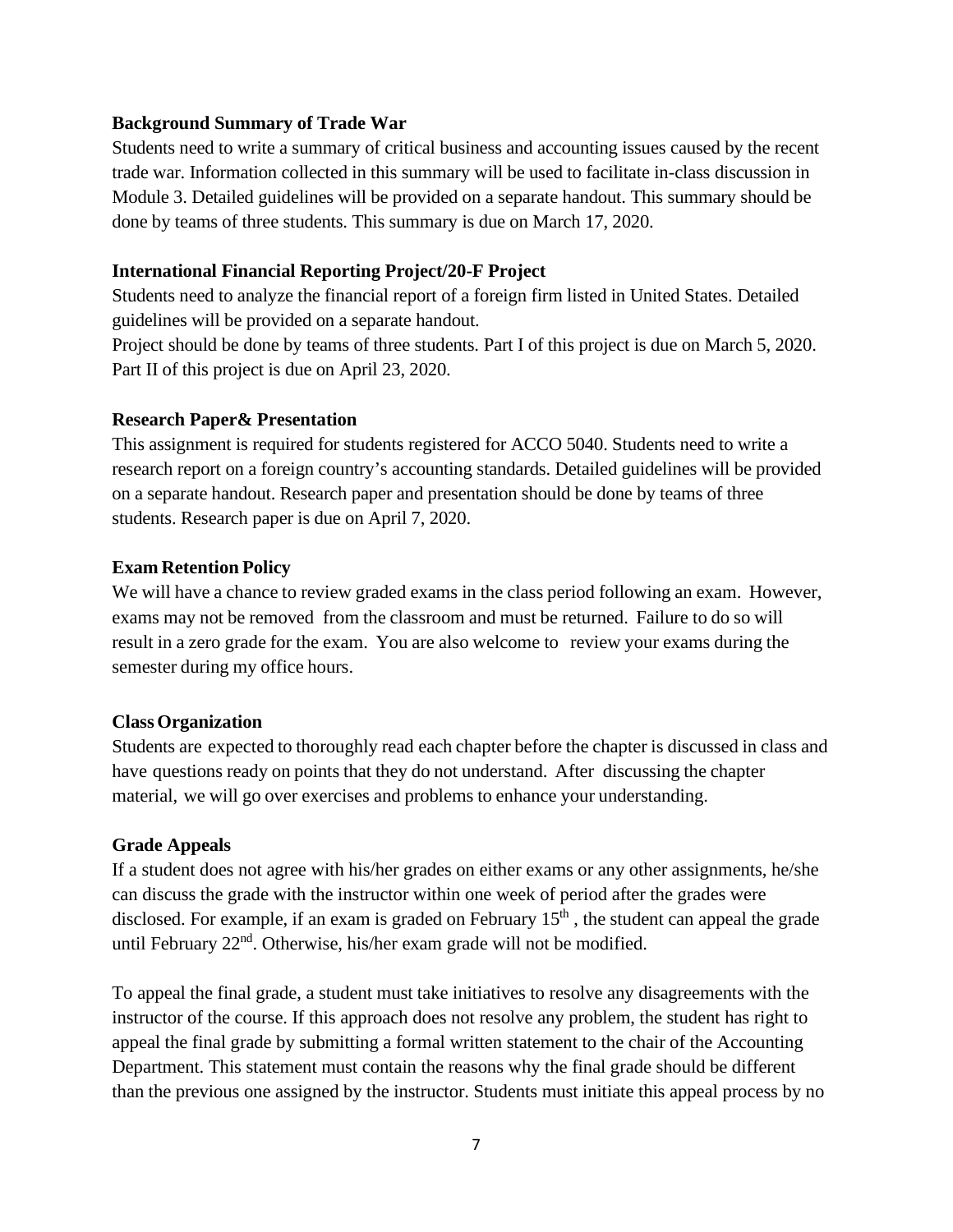#### **Background Summary of Trade War**

Students need to write a summary of critical business and accounting issues caused by the recent trade war. Information collected in this summary will be used to facilitate in-class discussion in Module 3. Detailed guidelines will be provided on a separate handout. This summary should be done by teams of three students. This summary is due on March 17, 2020.

#### **International Financial Reporting Project/20-F Project**

Students need to analyze the financial report of a foreign firm listed in United States. Detailed guidelines will be provided on a separate handout.

Project should be done by teams of three students. Part I of this project is due on March 5, 2020. Part II of this project is due on April 23, 2020.

## **Research Paper& Presentation**

This assignment is required for students registered for ACCO 5040. Students need to write a research report on a foreign country's accounting standards. Detailed guidelines will be provided on a separate handout. Research paper and presentation should be done by teams of three students. Research paper is due on April 7, 2020.

## **Exam Retention Policy**

We will have a chance to review graded exams in the class period following an exam. However, exams may not be removed from the classroom and must be returned. Failure to do so will result in a zero grade for the exam. You are also welcome to review your exams during the semester during my office hours.

#### **ClassOrganization**

Students are expected to thoroughly read each chapter before the chapter is discussed in class and have questions ready on points that they do not understand. After discussing the chapter material, we will go over exercises and problems to enhance your understanding.

# **Grade Appeals**

If a student does not agree with his/her grades on either exams or any other assignments, he/she can discuss the grade with the instructor within one week of period after the grades were disclosed. For example, if an exam is graded on February  $15<sup>th</sup>$ , the student can appeal the grade until February 22<sup>nd</sup>. Otherwise, his/her exam grade will not be modified.

To appeal the final grade, a student must take initiatives to resolve any disagreements with the instructor of the course. If this approach does not resolve any problem, the student has right to appeal the final grade by submitting a formal written statement to the chair of the Accounting Department. This statement must contain the reasons why the final grade should be different than the previous one assigned by the instructor. Students must initiate this appeal process by no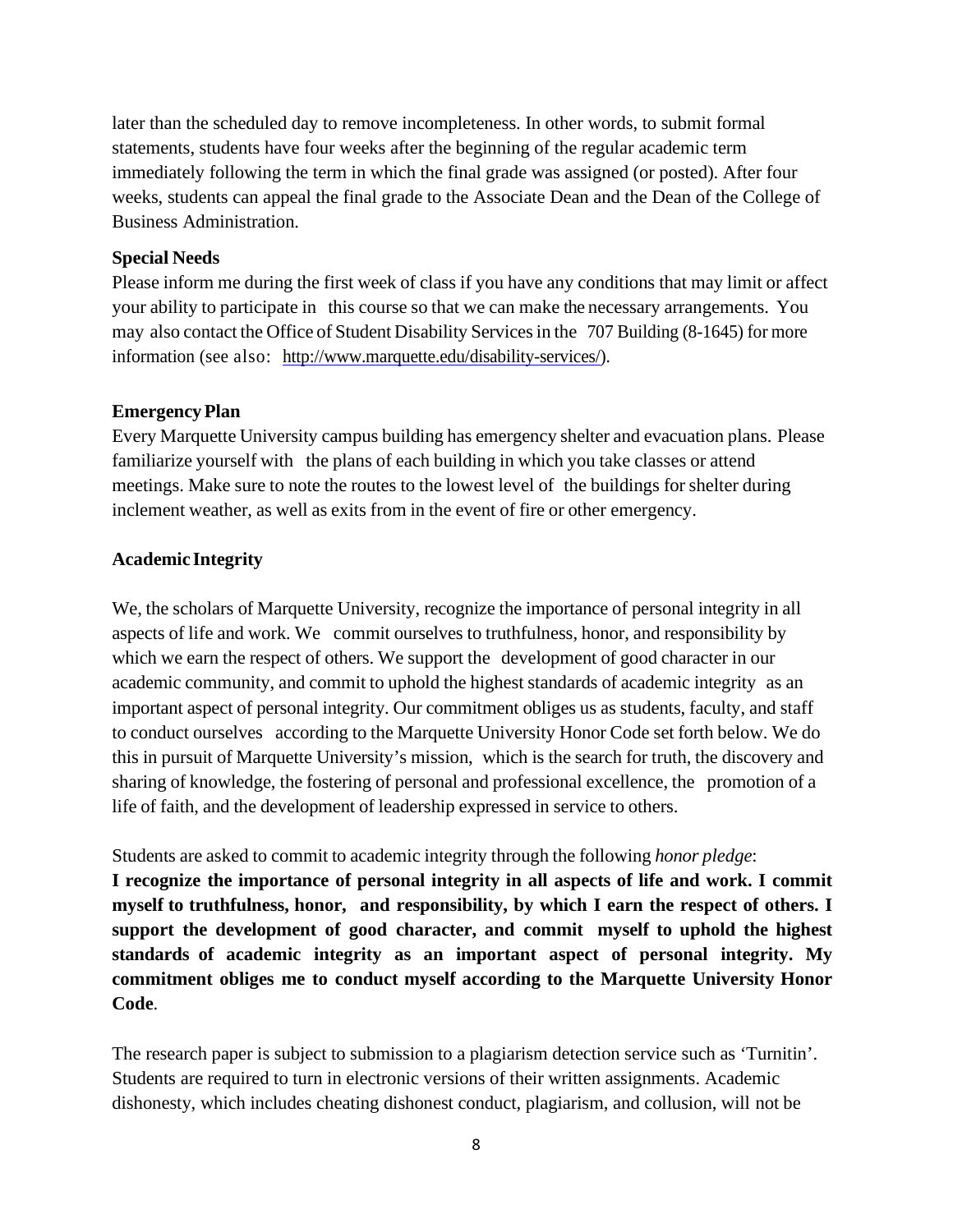later than the scheduled day to remove incompleteness. In other words, to submit formal statements, students have four weeks after the beginning of the regular academic term immediately following the term in which the final grade was assigned (or posted). After four weeks, students can appeal the final grade to the Associate Dean and the Dean of the College of Business Administration.

## **Special Needs**

Please inform me during the first week of class if you have any conditions that may limit or affect your ability to participate in this course so that we can make the necessary arrangements. You may also contact the Office of Student Disability Servicesin the 707 Building (8-1645) for more information (see also: [http://www.marquette.edu/disability-s](http://www.marquette.edu/disability-)ervices/).

#### **Emergency Plan**

Every Marquette University campus building has emergency shelter and evacuation plans. Please familiarize yourself with the plans of each building in which you take classes or attend meetings. Make sure to note the routes to the lowest level of the buildings for shelter during inclement weather, as well as exits from in the event of fire or other emergency.

## **Academic Integrity**

We, the scholars of Marquette University, recognize the importance of personal integrity in all aspects of life and work. We commit ourselves to truthfulness, honor, and responsibility by which we earn the respect of others. We support the development of good character in our academic community, and commit to uphold the highest standards of academic integrity as an important aspect of personal integrity. Our commitment obliges us as students, faculty, and staff to conduct ourselves according to the Marquette University Honor Code set forth below. We do this in pursuit of Marquette University's mission, which is the search for truth, the discovery and sharing of knowledge, the fostering of personal and professional excellence, the promotion of a life of faith, and the development of leadership expressed in service to others.

Students are asked to commit to academic integrity through the following *honor pledge*:

**I recognize the importance of personal integrity in all aspects of life and work. I commit myself to truthfulness, honor, and responsibility, by which I earn the respect of others. I support the development of good character, and commit myself to uphold the highest standards of academic integrity as an important aspect of personal integrity. My commitment obliges me to conduct myself according to the Marquette University Honor Code**.

The research paper is subject to submission to a plagiarism detection service such as 'Turnitin'. Students are required to turn in electronic versions of their written assignments. Academic dishonesty, which includes cheating dishonest conduct, plagiarism, and collusion, will not be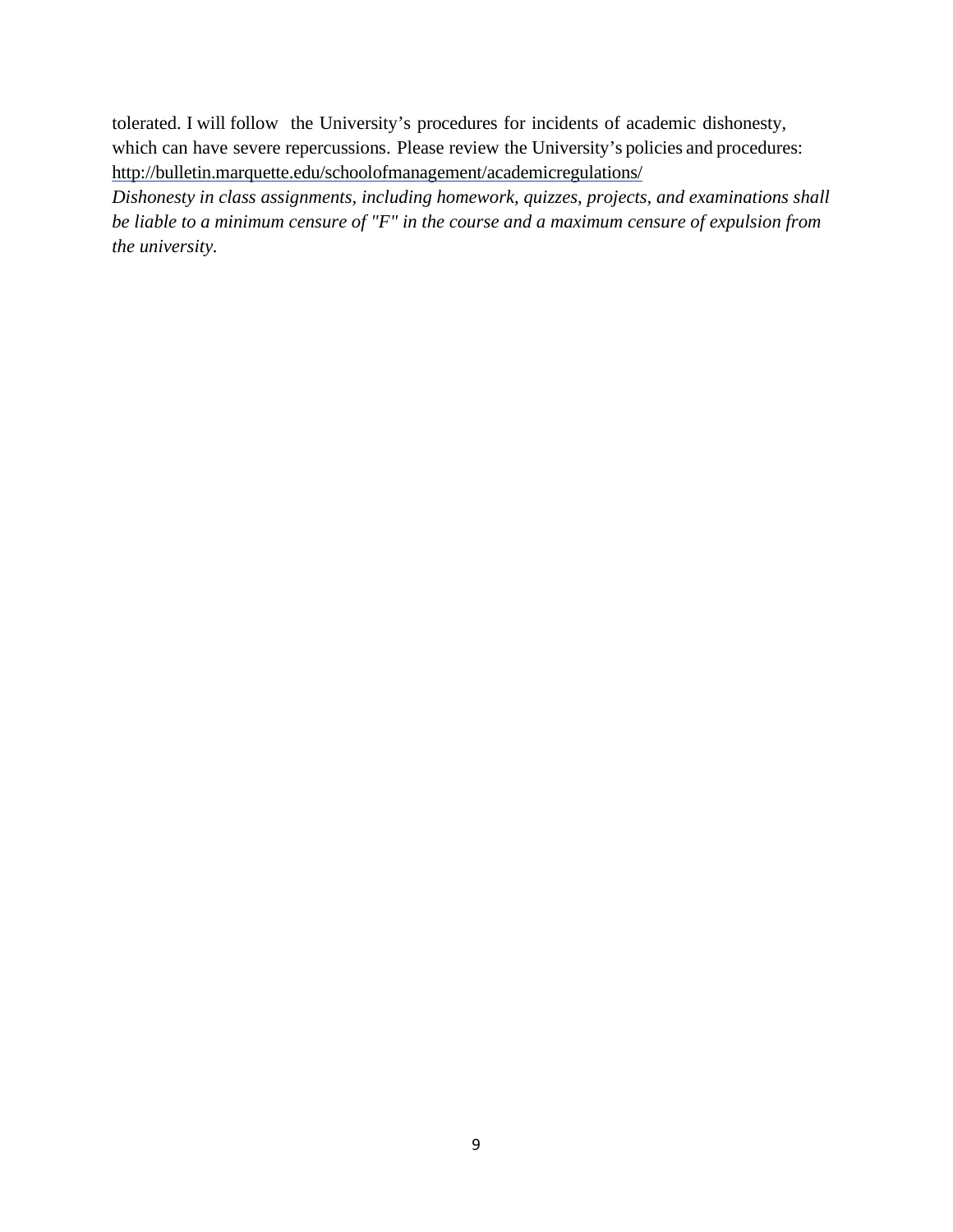tolerated. I will follow the University's procedures for incidents of academic dishonesty, which can have severe repercussions. Please review the University's policies and procedures: <http://bulletin.marquette.edu/schoolofmanagement/academicregulations/>

*Dishonesty in class assignments, including homework, quizzes, projects, and examinations shall be liable to a minimum censure of "F" in the course and a maximum censure of expulsion from the university.*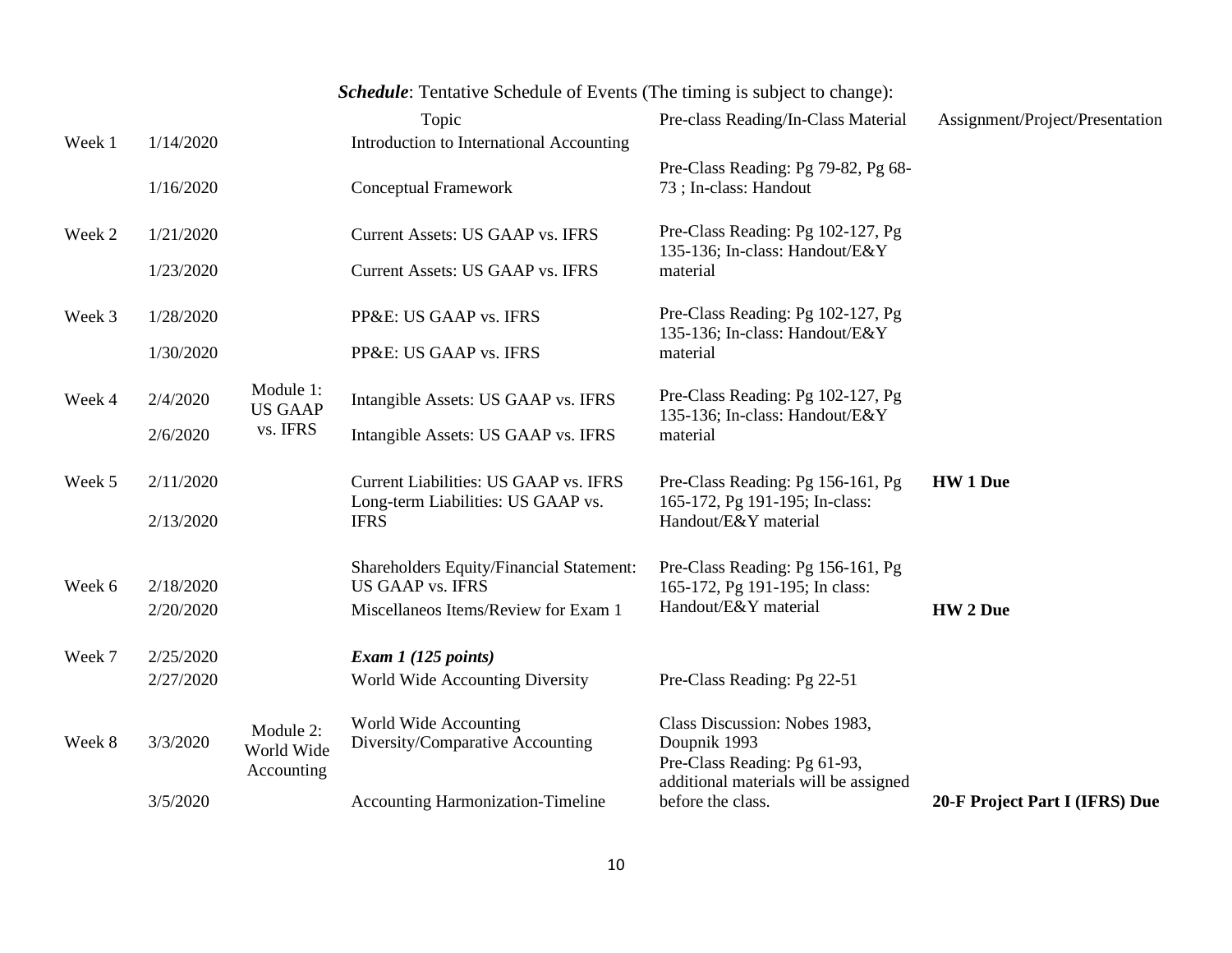|        |           |                             | <b>Schedule:</b> Tentative Schedule of Events (The timing is subject to change): |                                                                       |                                 |
|--------|-----------|-----------------------------|----------------------------------------------------------------------------------|-----------------------------------------------------------------------|---------------------------------|
|        |           |                             | Topic                                                                            | Pre-class Reading/In-Class Material                                   | Assignment/Project/Presentation |
| Week 1 | 1/14/2020 |                             | Introduction to International Accounting                                         |                                                                       |                                 |
|        | 1/16/2020 |                             | <b>Conceptual Framework</b>                                                      | Pre-Class Reading: Pg 79-82, Pg 68-<br>73; In-class: Handout          |                                 |
| Week 2 | 1/21/2020 |                             | Current Assets: US GAAP vs. IFRS                                                 | Pre-Class Reading: Pg 102-127, Pg<br>135-136; In-class: Handout/E&Y   |                                 |
|        | 1/23/2020 |                             | <b>Current Assets: US GAAP vs. IFRS</b>                                          | material                                                              |                                 |
| Week 3 | 1/28/2020 |                             | PP&E: US GAAP vs. IFRS                                                           | Pre-Class Reading: Pg 102-127, Pg<br>135-136; In-class: Handout/E&Y   |                                 |
|        | 1/30/2020 |                             | PP&E: US GAAP vs. IFRS                                                           | material                                                              |                                 |
| Week 4 | 2/4/2020  | Module 1:<br><b>US GAAP</b> | Intangible Assets: US GAAP vs. IFRS                                              | Pre-Class Reading: Pg 102-127, Pg<br>135-136; In-class: Handout/E&Y   |                                 |
|        | 2/6/2020  | vs. IFRS                    | Intangible Assets: US GAAP vs. IFRS                                              | material                                                              |                                 |
| Week 5 | 2/11/2020 |                             | Current Liabilities: US GAAP vs. IFRS<br>Long-term Liabilities: US GAAP vs.      | Pre-Class Reading: Pg 156-161, Pg<br>165-172, Pg 191-195; In-class:   | <b>HW 1 Due</b>                 |
|        | 2/13/2020 |                             | <b>IFRS</b>                                                                      | Handout/E&Y material                                                  |                                 |
| Week 6 | 2/18/2020 |                             | <b>Shareholders Equity/Financial Statement:</b><br><b>US GAAP vs. IFRS</b>       | Pre-Class Reading: Pg 156-161, Pg<br>165-172, Pg 191-195; In class:   |                                 |
|        | 2/20/2020 |                             | Miscellaneos Items/Review for Exam 1                                             | Handout/E&Y material                                                  | <b>HW</b> 2 Due                 |
|        |           |                             |                                                                                  |                                                                       |                                 |
| Week 7 | 2/25/2020 |                             | Exam $1(125$ points)                                                             |                                                                       |                                 |
|        | 2/27/2020 |                             | World Wide Accounting Diversity                                                  | Pre-Class Reading: Pg 22-51                                           |                                 |
| Week 8 | 3/3/2020  | Module 2:<br>World Wide     | World Wide Accounting<br>Diversity/Comparative Accounting                        | Class Discussion: Nobes 1983,<br>Doupnik 1993                         |                                 |
|        |           | Accounting                  |                                                                                  | Pre-Class Reading: Pg 61-93,<br>additional materials will be assigned |                                 |
|        | 3/5/2020  |                             | <b>Accounting Harmonization-Timeline</b>                                         | before the class.                                                     | 20-F Project Part I (IFRS) Due  |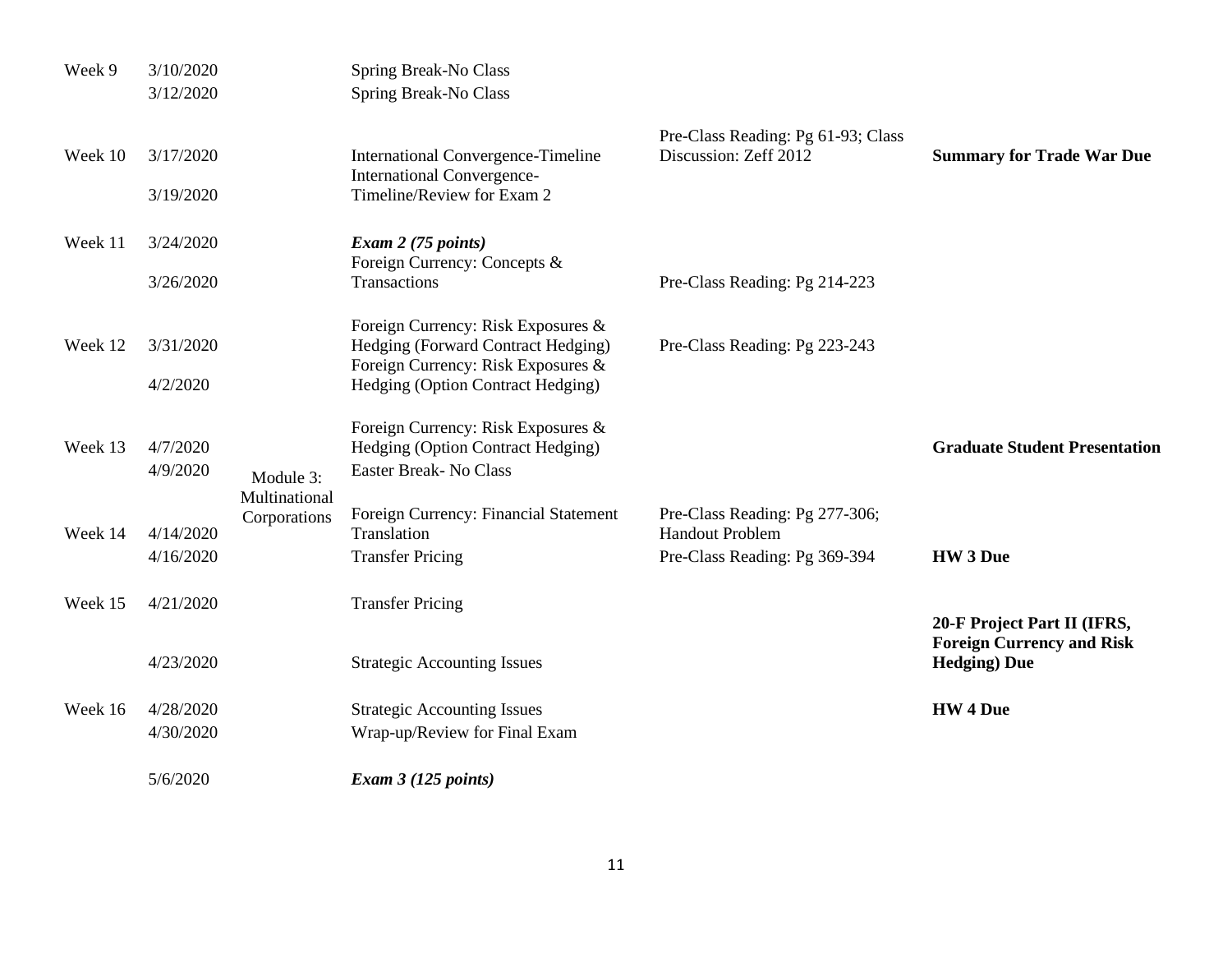| Week 9  | 3/10/2020              |                            | Spring Break-No Class                                                                                          |                                                             |                                                          |
|---------|------------------------|----------------------------|----------------------------------------------------------------------------------------------------------------|-------------------------------------------------------------|----------------------------------------------------------|
|         | 3/12/2020              |                            | Spring Break-No Class                                                                                          |                                                             |                                                          |
| Week 10 | 3/17/2020<br>3/19/2020 |                            | <b>International Convergence-Timeline</b><br><b>International Convergence-</b><br>Timeline/Review for Exam 2   | Pre-Class Reading: Pg 61-93; Class<br>Discussion: Zeff 2012 | <b>Summary for Trade War Due</b>                         |
| Week 11 | 3/24/2020              |                            | Exam 2 (75 points)                                                                                             |                                                             |                                                          |
|         | 3/26/2020              |                            | Foreign Currency: Concepts &<br>Transactions                                                                   | Pre-Class Reading: Pg 214-223                               |                                                          |
| Week 12 | 3/31/2020              |                            | Foreign Currency: Risk Exposures &<br>Hedging (Forward Contract Hedging)<br>Foreign Currency: Risk Exposures & | Pre-Class Reading: Pg 223-243                               |                                                          |
|         | 4/2/2020               |                            | Hedging (Option Contract Hedging)                                                                              |                                                             |                                                          |
| Week 13 | 4/7/2020<br>4/9/2020   | Module 3:<br>Multinational | Foreign Currency: Risk Exposures &<br>Hedging (Option Contract Hedging)<br><b>Easter Break-No Class</b>        |                                                             | <b>Graduate Student Presentation</b>                     |
| Week 14 | 4/14/2020              | Corporations               | Foreign Currency: Financial Statement<br>Translation                                                           | Pre-Class Reading: Pg 277-306;<br><b>Handout Problem</b>    |                                                          |
|         | 4/16/2020              |                            | <b>Transfer Pricing</b>                                                                                        | Pre-Class Reading: Pg 369-394                               | HW 3 Due                                                 |
| Week 15 | 4/21/2020              |                            | <b>Transfer Pricing</b>                                                                                        |                                                             | 20-F Project Part II (IFRS,                              |
|         | 4/23/2020              |                            | <b>Strategic Accounting Issues</b>                                                                             |                                                             | <b>Foreign Currency and Risk</b><br><b>Hedging</b> ) Due |
| Week 16 | 4/28/2020              |                            | <b>Strategic Accounting Issues</b>                                                                             |                                                             | <b>HW 4 Due</b>                                          |
|         | 4/30/2020              |                            | Wrap-up/Review for Final Exam                                                                                  |                                                             |                                                          |
|         | 5/6/2020               |                            | Exam $3(125$ points)                                                                                           |                                                             |                                                          |